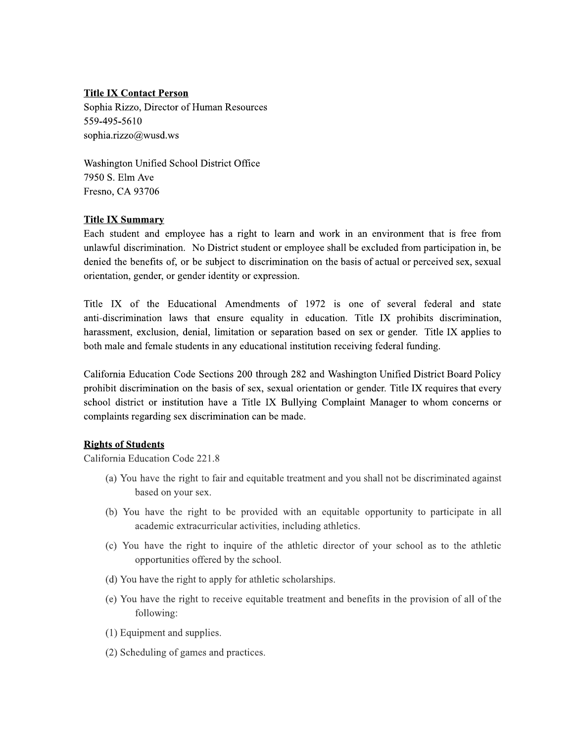### **Title IX Contact Person**

Sophia Rizzo, Director of Human Resources 559-495-5610 sophia.rizzo@wusd.ws

Washington Unified School District Office 7950 S. Elm Ave Fresno, CA 93706

## **Title IX Summary**

Each student and employee has a right to learn and work in an environment that is free from unlawful discrimination. No District student or employee shall be excluded from participation in, be denied the benefits of, or be subject to discrimination on the basis of actual or perceived sex, sexual orientation, gender, or gender identity or expression.

Title IX of the Educational Amendments of 1972 is one of several federal and state anti-discrimination laws that ensure equality in education. Title IX prohibits discrimination, harassment, exclusion, denial, limitation or separation based on sex or gender. Title IX applies to both male and female students in any educational institution receiving federal funding.

California Education Code Sections 200 through 282 and Washington Unified District Board Policy prohibit discrimination on the basis of sex, sexual orientation or gender. Title IX requires that every school district or institution have a Title IX Bullying Complaint Manager to whom concerns or complaints regarding sex discrimination can be made.

### **Rights of Students**

California Education Code 221.8

- (a) You have the right to fair and equitable treatment and you shall not be discriminated against based on your sex.
- (b) You have the right to be provided with an equitable opportunity to participate in all academic extracurricular activities, including athletics.
- (c) You have the right to inquire of the athletic director of your school as to the athletic opportunities offered by the school.
- (d) You have the right to apply for athletic scholarships.
- (e) You have the right to receive equitable treatment and benefits in the provision of all of the following:
- (1) Equipment and supplies.
- (2) Scheduling of games and practices.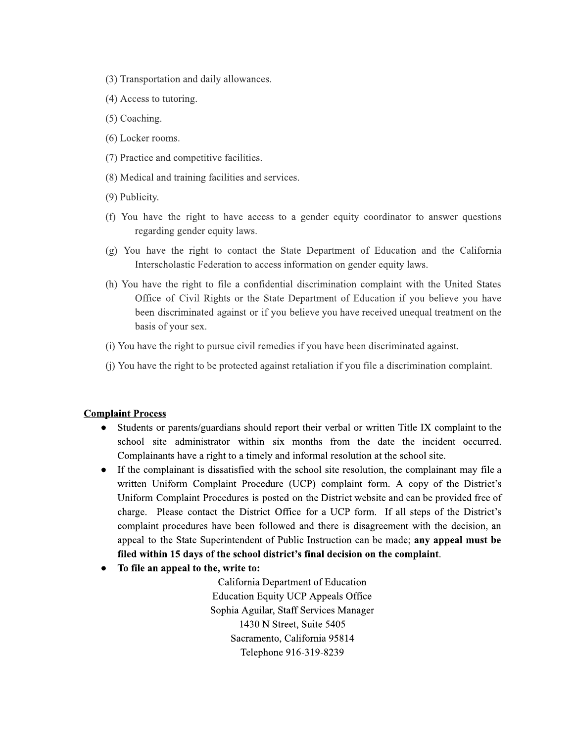- (3) Transportation and daily allowances.
- (4) Access to tutoring.
- (5) Coaching.
- (6) Locker rooms.
- (7) Practice and competitive facilities.
- (8) Medical and training facilities and services.
- (9) Publicity.
- (f) You have the right to have access to a gender equity coordinator to answer questions regarding gender equity laws.
- (g) You have the right to contact the State Department of Education and the California Interscholastic Federation to access information on gender equity laws.
- (h) You have the right to file a confidential discrimination complaint with the United States Office of Civil Rights or the State Department of Education if you believe you have been discriminated against or if you believe you have received unequal treatment on the basis of your sex.
- (i) You have the right to pursue civil remedies if you have been discriminated against.
- (j) You have the right to be protected against retaliation if you file a discrimination complaint.

#### **Complaint Process**

- Students or parents/guardians should report their verbal or written Title IX complaint to the school site administrator within six months from the date the incident occurred. Complainants have a right to a timely and informal resolution at the school site.
- If the complainant is dissatisfied with the school site resolution, the complainant may file a written Uniform Complaint Procedure (UCP) complaint form. A copy of the District's Uniform Complaint Procedures is posted on the District website and can be provided free of charge. Please contact the District Office for a UCP form. If all steps of the District's complaint procedures have been followed and there is disagreement with the decision, an appeal to the State Superintendent of Public Instruction can be made; any appeal must be filed within 15 days of the school district's final decision on the complaint.
- To file an appeal to the, write to:

California Department of Education **Education Equity UCP Appeals Office** Sophia Aguilar, Staff Services Manager 1430 N Street, Suite 5405 Sacramento, California 95814 Telephone 916-319-8239